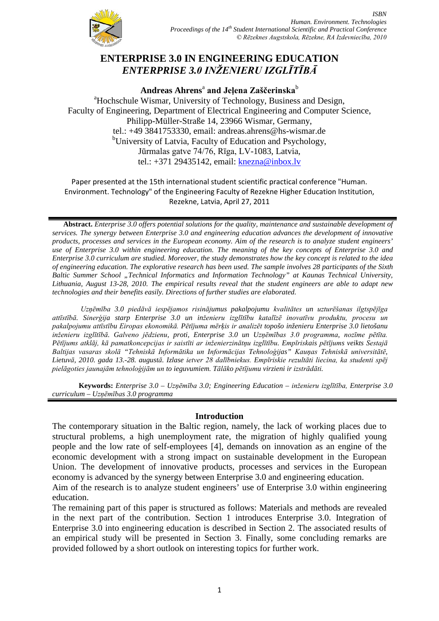

# **ENTERPRISE 3.0 IN ENGINEERING EDUCATION** *ENTERPRISE 3.0 INŽENIERU IZGLĪTĪBĀ*

**Andreas Ahrens**<sup>a</sup> **and Jeļena Zaščerinska**<sup>b</sup> <sup>a</sup>Hochschule Wismar, University of Technology, Business and Design, Faculty of Engineering, Department of Electrical Engineering and Computer Science, Philipp-Müller-Straße 14, 23966 Wismar, Germany, tel.: +49 3841753330, email: andreas.ahrens@hs-wismar.de <sup>b</sup>University of Latvia, Faculty of Education and Psychology, Jūrmalas gatve 74/76, Rīga, LV-1083, Latvia, tel.: +371 29435142, email: [knezna@inbox.lv](mailto:knezna@inbox.lv)

Paper presented at the 15th international student scientific practical conference "Human. Environment. Technology" of the Engineering Faculty of Rezekne Higher Education Institution, Rezekne, Latvia, April 27, 2011

**Abstract.** *Enterprise 3.0 offers potential solutions for the quality, maintenance and sustainable development of services. The synergy between Enterprise 3.0 and engineering education advances the development of innovative products, processes and services in the European economy. Aim of the research is to analyze student engineers' use of Enterprise 3.0 within engineering education. The meaning of the key concepts of Enterprise 3.0 and Enterprise 3.0 curriculum are studied. Moreover, the study demonstrates how the key concept is related to the idea of engineering education. The explorative research has been used. The sample involves 28 participants of the Sixth Baltic Summer School "Technical Informatics and Information Technology" at Kaunas Technical University, Lithuania, August 13-28, 2010. The empirical results reveal that the student engineers are able to adapt new technologies and their benefits easily. Directions of further studies are elaborated.*

*Uzņēmība 3.0 piedāvā iespējamos risinājumus pakalpojumu kvalitātes un uzturēšanas ilgtspējīga attīstībā. Sinerģija starp Enterprise 3.0 un inženieru izglītību katalīzē inovatīvu produktu, procesu un pakalpojumu attīstību Eiropas ekonomikā. Pētījuma mērķis ir analizēt topošo inženieru Enterprise 3.0 lietošanu inženieru izglītībā. Galveno jēdzienu, proti, Enterprise 3.0 un Uzņēmības 3.0 programma, nozīme pētīta. Pētījums atklāj, kā pamatkoncepcijas ir saistīti ar inženierzinātņu izglītību. Empīriskais pētījums veikts Sestajā Baltijas vasaras skolā "Tehniskā Informātika un Informācijas Tehnoloģijas" Kauņas Tehniskā universitātē, Lietuvā, 2010. gada 13.-28. augustā. Izlase ietver 28 dalībniekus. Empīriskie rezultāti liecina, ka studenti spēj pielāgoties jaunajām tehnoloģijām un to ieguvumiem. Tālāko pētījumu virzieni ir izstrādāti.*

**Keywords:** *Enterprise 3.0 – Uzņēmība 3.0; Engineering Education – inženieru izglītība, Enterprise 3.0 curriculum – Uzņēmības 3.0 programma*

#### **Introduction**

The contemporary situation in the Baltic region, namely, the lack of working places due to structural problems, a high unemployment rate, the migration of highly qualified young people and the low rate of self-employees [4], demands on innovation as an engine of the economic development with a strong impact on sustainable development in the European Union. The development of innovative products, processes and services in the European economy is advanced by the synergy between Enterprise 3.0 and engineering education.

Aim of the research is to analyze student engineers' use of Enterprise 3.0 within engineering education.

The remaining part of this paper is structured as follows: Materials and methods are revealed in the next part of the contribution. Section 1 introduces Enterprise 3.0. Integration of Enterprise 3.0 into engineering education is described in Section 2. The associated results of an empirical study will be presented in Section 3. Finally, some concluding remarks are provided followed by a short outlook on interesting topics for further work.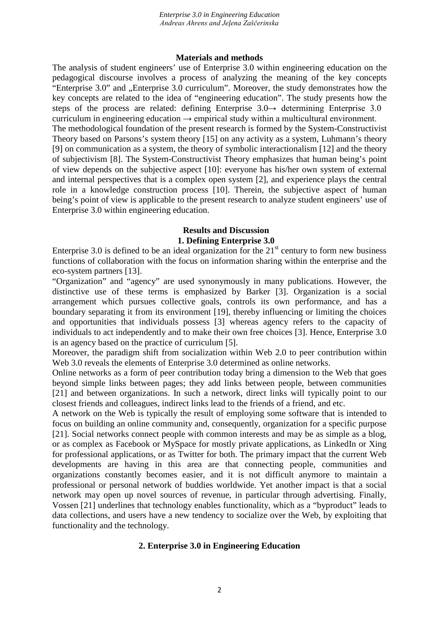#### **Materials and methods**

The analysis of student engineers' use of Enterprise 3.0 within engineering education on the pedagogical discourse involves a process of analyzing the meaning of the key concepts "Enterprise 3.0" and "Enterprise 3.0 curriculum". Moreover, the study demonstrates how the key concepts are related to the idea of "engineering education". The study presents how the steps of the process are related: defining Enterprise  $3.0 \rightarrow$  determining Enterprise 3.0 curriculum in engineering education  $\rightarrow$  empirical study within a multicultural environment. The methodological foundation of the present research is formed by the System-Constructivist Theory based on Parsons's system theory [15] on any activity as a system, Luhmann's theory [9] on communication as a system, the theory of symbolic interactionalism [12] and the theory of subjectivism [8]. The System-Constructivist Theory emphasizes that human being's point of view depends on the subjective aspect [10]: everyone has his/her own system of external and internal perspectives that is a complex open system [2], and experience plays the central role in a knowledge construction process [10]. Therein, the subjective aspect of human being's point of view is applicable to the present research to analyze student engineers' use of Enterprise 3.0 within engineering education.

#### **Results and Discussion 1. Defining Enterprise 3.0**

Enterprise 3.0 is defined to be an ideal organization for the  $21<sup>st</sup>$  century to form new business functions of collaboration with the focus on information sharing within the enterprise and the eco-system partners [13].

"Organization" and "agency" are used synonymously in many publications. However, the distinctive use of these terms is emphasized by Barker [3]. Organization is a social arrangement which pursues collective goals, controls its own performance, and has a boundary separating it from its environment [19], thereby influencing or limiting the choices and opportunities that individuals possess [3] whereas agency refers to the capacity of individuals to act independently and to make their own free choices [3]. Hence, Enterprise 3.0 is an agency based on the practice of curriculum [5].

Moreover, the paradigm shift from socialization within Web 2.0 to peer contribution within Web 3.0 reveals the elements of Enterprise 3.0 determined as online networks.

Online networks as a form of peer contribution today bring a dimension to the Web that goes beyond simple links between pages; they add links between people, between communities [21] and between organizations. In such a network, direct links will typically point to our closest friends and colleagues, indirect links lead to the friends of a friend, and etc.

A network on the Web is typically the result of employing some software that is intended to focus on building an online community and, consequently, organization for a specific purpose [21]. Social networks connect people with common interests and may be as simple as a blog, or as complex as Facebook or MySpace for mostly private applications, as LinkedIn or Xing for professional applications, or as Twitter for both. The primary impact that the current Web developments are having in this area are that connecting people, communities and organizations constantly becomes easier, and it is not difficult anymore to maintain a professional or personal network of buddies worldwide. Yet another impact is that a social network may open up novel sources of revenue, in particular through advertising. Finally, Vossen [21] underlines that technology enables functionality, which as a "byproduct" leads to data collections, and users have a new tendency to socialize over the Web, by exploiting that functionality and the technology.

#### **2. Enterprise 3.0 in Engineering Education**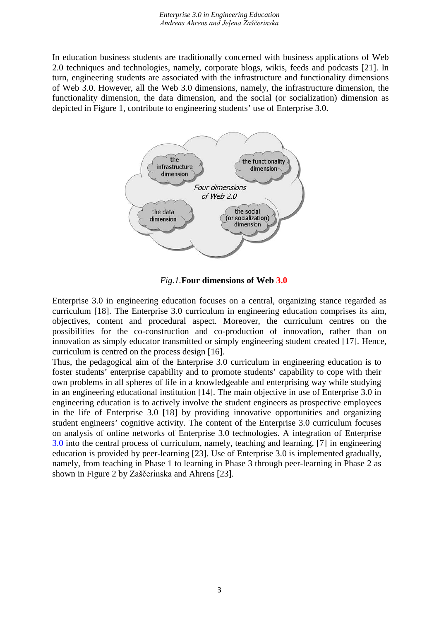In education business students are traditionally concerned with business applications of Web 2.0 techniques and technologies, namely, corporate blogs, wikis, feeds and podcasts [21]. In turn, engineering students are associated with the infrastructure and functionality dimensions of Web 3.0. However, all the Web 3.0 dimensions, namely, the infrastructure dimension, the functionality dimension, the data dimension, and the social (or socialization) dimension as depicted in Figure 1, contribute to engineering students' use of Enterprise 3.0.



*Fig.1.***Four dimensions of Web 3.0**

Enterprise 3.0 in engineering education focuses on a central, organizing stance regarded as curriculum [18]. The Enterprise 3.0 curriculum in engineering education comprises its aim, objectives, content and procedural aspect. Moreover, the curriculum centres on the possibilities for the co-construction and co-production of innovation, rather than on innovation as simply educator transmitted or simply engineering student created [17]. Hence, curriculum is centred on the process design [16].

Thus, the pedagogical aim of the Enterprise 3.0 curriculum in engineering education is to foster students' enterprise capability and to promote students' capability to cope with their own problems in all spheres of life in a knowledgeable and enterprising way while studying in an engineering educational institution [14]. The main objective in use of Enterprise 3.0 in engineering education is to actively involve the student engineers as prospective employees in the life of Enterprise 3.0 [18] by providing innovative opportunities and organizing student engineers' cognitive activity. The content of the Enterprise 3.0 curriculum focuses on analysis of online networks of Enterprise 3.0 technologies. A integration of Enterprise 3.0 into the central process of curriculum, namely, teaching and learning, [7] in engineering education is provided by peer-learning [23]. Use of Enterprise 3.0 is implemented gradually, namely, from teaching in Phase 1 to learning in Phase 3 through peer-learning in Phase 2 as shown in Figure 2 by Zaščerinska and Ahrens [23].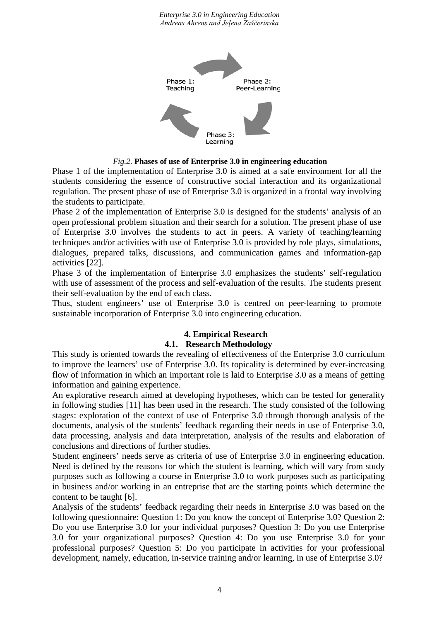

*Fig.2.* **Phases of use of Enterprise 3.0 in engineering education**

Phase 1 of the implementation of Enterprise 3.0 is aimed at a safe environment for all the students considering the essence of constructive social interaction and its organizational regulation. The present phase of use of Enterprise 3.0 is organized in a frontal way involving the students to participate.

Phase 2 of the implementation of Enterprise 3.0 is designed for the students' analysis of an open professional problem situation and their search for a solution. The present phase of use of Enterprise 3.0 involves the students to act in peers. A variety of teaching/learning techniques and/or activities with use of Enterprise 3.0 is provided by role plays, simulations, dialogues, prepared talks, discussions, and communication games and information-gap activities [22].

Phase 3 of the implementation of Enterprise 3.0 emphasizes the students' self-regulation with use of assessment of the process and self-evaluation of the results. The students present their self-evaluation by the end of each class.

Thus, student engineers' use of Enterprise 3.0 is centred on peer-learning to promote sustainable incorporation of Enterprise 3.0 into engineering education.

## **4. Empirical Research**

#### **4.1. Research Methodology**

This study is oriented towards the revealing of effectiveness of the Enterprise 3.0 curriculum to improve the learners' use of Enterprise 3.0. Its topicality is determined by ever-increasing flow of information in which an important role is laid to Enterprise 3.0 as a means of getting information and gaining experience.

An explorative research aimed at developing hypotheses, which can be tested for generality in following studies [11] has been used in the research. The study consisted of the following stages: exploration of the context of use of Enterprise 3.0 through thorough analysis of the documents, analysis of the students' feedback regarding their needs in use of Enterprise 3.0, data processing, analysis and data interpretation, analysis of the results and elaboration of conclusions and directions of further studies.

Student engineers' needs serve as criteria of use of Enterprise 3.0 in engineering education. Need is defined by the reasons for which the student is learning, which will vary from study purposes such as following a course in Enterprise 3.0 to work purposes such as participating in business and/or working in an entreprise that are the starting points which determine the content to be taught [6].

Analysis of the students' feedback regarding their needs in Enterprise 3.0 was based on the following questionnaire: Question 1: Do you know the concept of Enterprise 3.0? Question 2: Do you use Enterprise 3.0 for your individual purposes? Question 3: Do you use Enterprise 3.0 for your organizational purposes? Question 4: Do you use Enterprise 3.0 for your professional purposes? Question 5: Do you participate in activities for your professional development, namely, education, in-service training and/or learning, in use of Enterprise 3.0?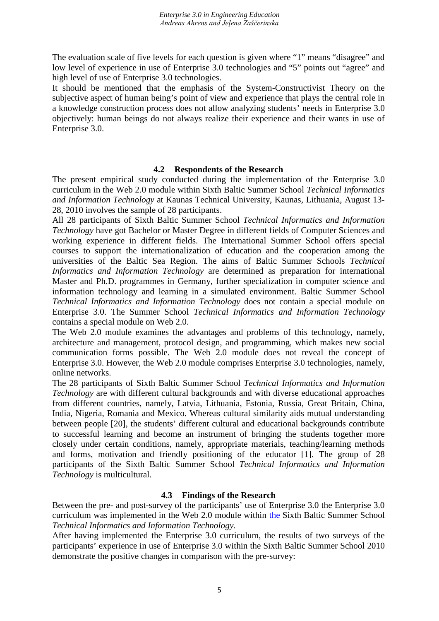The evaluation scale of five levels for each question is given where "1" means "disagree" and low level of experience in use of Enterprise 3.0 technologies and "5" points out "agree" and high level of use of Enterprise 3.0 technologies.

It should be mentioned that the emphasis of the System-Constructivist Theory on the subjective aspect of human being's point of view and experience that plays the central role in a knowledge construction process does not allow analyzing students' needs in Enterprise 3.0 objectively: human beings do not always realize their experience and their wants in use of Enterprise 3.0.

#### **4.2 Respondents of the Research**

The present empirical study conducted during the implementation of the Enterprise 3.0 curriculum in the Web 2.0 module within Sixth Baltic Summer School *Technical Informatics and Information Technology* at Kaunas Technical University, Kaunas, Lithuania, August 13- 28, 2010 involves the sample of 28 participants.

All 28 participants of Sixth Baltic Summer School *Technical Informatics and Information Technology* have got Bachelor or Master Degree in different fields of Computer Sciences and working experience in different fields. The International Summer School offers special courses to support the internationalization of education and the cooperation among the universities of the Baltic Sea Region. The aims of Baltic Summer Schools *Technical Informatics and Information Technology* are determined as preparation for international Master and Ph.D. programmes in Germany, further specialization in computer science and information technology and learning in a simulated environment. Baltic Summer School *Technical Informatics and Information Technology* does not contain a special module on Enterprise 3.0. The Summer School *Technical Informatics and Information Technology* contains a special module on Web 2.0.

The Web 2.0 module examines the advantages and problems of this technology, namely, architecture and management, protocol design, and programming, which makes new social communication forms possible. The Web 2.0 module does not reveal the concept of Enterprise 3.0. However, the Web 2.0 module comprises Enterprise 3.0 technologies, namely, online networks.

The 28 participants of Sixth Baltic Summer School *Technical Informatics and Information Technology* are with different cultural backgrounds and with diverse educational approaches from different countries, namely, Latvia, Lithuania, Estonia, Russia, Great Britain, China, India, Nigeria, Romania and Mexico. Whereas cultural similarity aids mutual understanding between people [20], the students' different cultural and educational backgrounds contribute to successful learning and become an instrument of bringing the students together more closely under certain conditions, namely, appropriate materials, teaching/learning methods and forms, motivation and friendly positioning of the educator [1]. The group of 28 participants of the Sixth Baltic Summer School *Technical Informatics and Information Technology* is multicultural.

### **4.3 Findings of the Research**

Between the pre- and post-survey of the participants' use of Enterprise 3.0 the Enterprise 3.0 curriculum was implemented in the Web 2.0 module within the Sixth Baltic Summer School *Technical Informatics and Information Technology*.

After having implemented the Enterprise 3.0 curriculum, the results of two surveys of the participants' experience in use of Enterprise 3.0 within the Sixth Baltic Summer School 2010 demonstrate the positive changes in comparison with the pre-survey: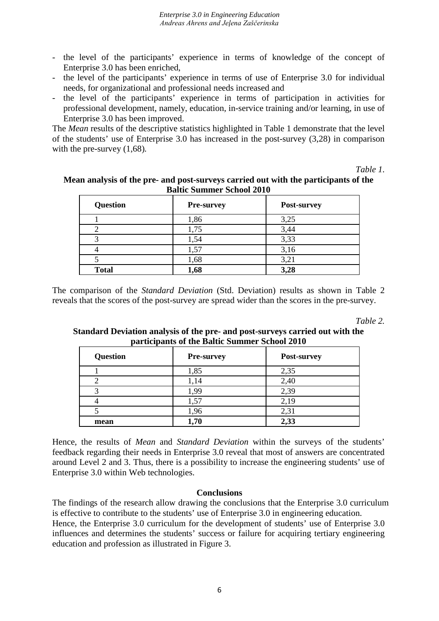- the level of the participants' experience in terms of knowledge of the concept of Enterprise 3.0 has been enriched,
- the level of the participants' experience in terms of use of Enterprise 3.0 for individual needs, for organizational and professional needs increased and
- the level of the participants' experience in terms of participation in activities for professional development, namely, education, in-service training and/or learning, in use of Enterprise 3.0 has been improved.

The *Mean* results of the descriptive statistics highlighted in Table 1 demonstrate that the level of the students' use of Enterprise 3.0 has increased in the post-survey (3,28) in comparison with the pre-survey (1,68)*.*

*Table 1*.

#### **Mean analysis of the pre- and post-surveys carried out with the participants of the Baltic Summer School 2010**

| <b>Question</b> | <b>Pre-survey</b> | Post-survey |
|-----------------|-------------------|-------------|
|                 | 1,86              | 3,25        |
|                 | 1,75              | 3,44        |
| ◠               | 1,54              | 3,33        |
|                 | 1,57              | 3,16        |
|                 | 1,68              | 3,21        |
| <b>Total</b>    | 1,68              | 3,28        |

The comparison of the *Standard Deviation* (Std. Deviation) results as shown in Table 2 reveals that the scores of the post-survey are spread wider than the scores in the pre-survey.

*Table 2.*

### **Standard Deviation analysis of the pre- and post-surveys carried out with the participants of the Baltic Summer School 2010**

| <b>Question</b> | <b>Pre-survey</b> | Post-survey |
|-----------------|-------------------|-------------|
|                 | 1,85              | 2,35        |
|                 | 1,14              | 2,40        |
| 2               | 1.99              | 2,39        |
|                 | 1,57              | 2,19        |
|                 | 1,96              | 2,31        |
| mean            | 1,70              | 2,33        |

Hence, the results of *Mean* and *Standard Deviation* within the surveys of the students' feedback regarding their needs in Enterprise 3.0 reveal that most of answers are concentrated around Level 2 and 3. Thus, there is a possibility to increase the engineering students' use of Enterprise 3.0 within Web technologies.

#### **Conclusions**

The findings of the research allow drawing the conclusions that the Enterprise 3.0 curriculum is effective to contribute to the students' use of Enterprise 3.0 in engineering education. Hence, the Enterprise 3.0 curriculum for the development of students' use of Enterprise 3.0 influences and determines the students' success or failure for acquiring tertiary engineering education and profession as illustrated in Figure 3.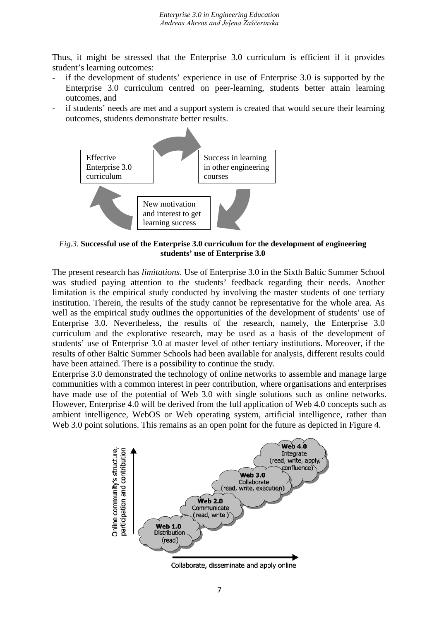Thus, it might be stressed that the Enterprise 3.0 curriculum is efficient if it provides student's learning outcomes:

- if the development of students' experience in use of Enterprise 3.0 is supported by the Enterprise 3.0 curriculum centred on peer-learning, students better attain learning outcomes, and
- if students' needs are met and a support system is created that would secure their learning outcomes, students demonstrate better results.



*Fig.3.* **Successful use of the Enterprise 3.0 curriculum for the development of engineering students' use of Enterprise 3.0**

The present research has *limitations*. Use of Enterprise 3.0 in the Sixth Baltic Summer School was studied paying attention to the students' feedback regarding their needs. Another limitation is the empirical study conducted by involving the master students of one tertiary institution. Therein, the results of the study cannot be representative for the whole area. As well as the empirical study outlines the opportunities of the development of students' use of Enterprise 3.0. Nevertheless, the results of the research, namely, the Enterprise 3.0 curriculum and the explorative research, may be used as a basis of the development of students' use of Enterprise 3.0 at master level of other tertiary institutions. Moreover, if the results of other Baltic Summer Schools had been available for analysis, different results could have been attained. There is a possibility to continue the study.

Enterprise 3.0 demonstrated the technology of online networks to assemble and manage large communities with a common interest in peer contribution, where organisations and enterprises have made use of the potential of Web 3.0 with single solutions such as online networks. However, Enterprise 4.0 will be derived from the full application of Web 4.0 concepts such as ambient intelligence, WebOS or Web operating system, artificial intelligence, rather than Web 3.0 point solutions. This remains as an open point for the future as depicted in Figure 4.



Collaborate, disseminate and apply online